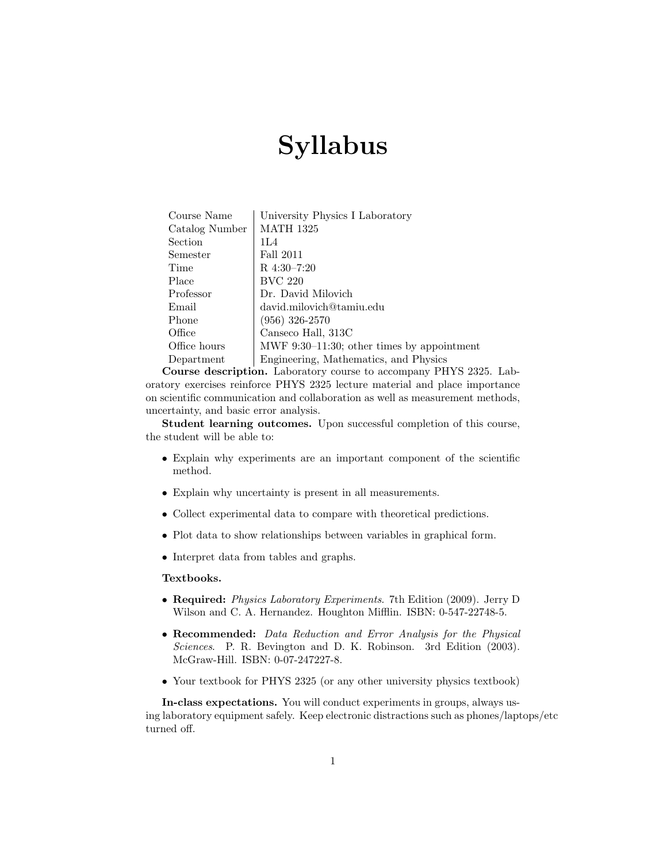# Syllabus

| Course Name    | University Physics I Laboratory               |
|----------------|-----------------------------------------------|
| Catalog Number | <b>MATH 1325</b>                              |
| Section        | 1L4                                           |
| Semester       | Fall 2011                                     |
| Time           | $R$ 4:30-7:20                                 |
| Place          | <b>BVC 220</b>                                |
| Professor      | Dr. David Milovich                            |
| Email          | david.milovich@tamiu.edu                      |
| Phone          | $(956)$ 326-2570                              |
| Office         | Canseco Hall, 313C                            |
| Office hours   | MWF $9:30-11:30$ ; other times by appointment |
| Department     | Engineering, Mathematics, and Physics         |
|                |                                               |

Course description. Laboratory course to accompany PHYS 2325. Laboratory exercises reinforce PHYS 2325 lecture material and place importance on scientific communication and collaboration as well as measurement methods, uncertainty, and basic error analysis.

Student learning outcomes. Upon successful completion of this course, the student will be able to:

- Explain why experiments are an important component of the scientific method.
- Explain why uncertainty is present in all measurements.
- Collect experimental data to compare with theoretical predictions.
- Plot data to show relationships between variables in graphical form.
- Interpret data from tables and graphs.

#### Textbooks.

- Required: *Physics Laboratory Experiments.* 7th Edition (2009). Jerry D Wilson and C. A. Hernandez. Houghton Mifflin. ISBN: 0-547-22748-5.
- Recommended: Data Reduction and Error Analysis for the Physical Sciences. P. R. Bevington and D. K. Robinson. 3rd Edition (2003). McGraw-Hill. ISBN: 0-07-247227-8.
- Your textbook for PHYS 2325 (or any other university physics textbook)

In-class expectations. You will conduct experiments in groups, always using laboratory equipment safely. Keep electronic distractions such as phones/laptops/etc turned off.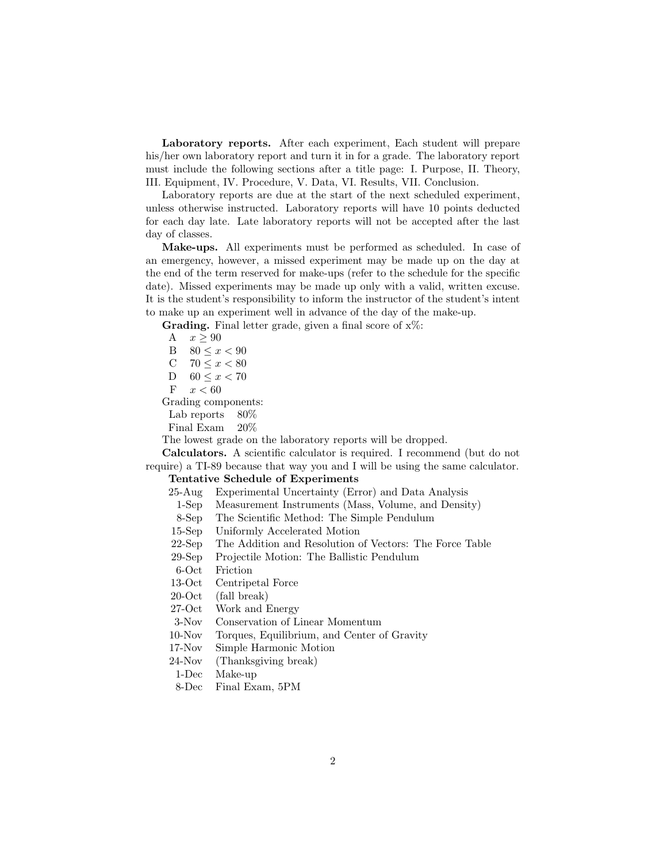Laboratory reports. After each experiment, Each student will prepare his/her own laboratory report and turn it in for a grade. The laboratory report must include the following sections after a title page: I. Purpose, II. Theory, III. Equipment, IV. Procedure, V. Data, VI. Results, VII. Conclusion.

Laboratory reports are due at the start of the next scheduled experiment, unless otherwise instructed. Laboratory reports will have 10 points deducted for each day late. Late laboratory reports will not be accepted after the last day of classes.

Make-ups. All experiments must be performed as scheduled. In case of an emergency, however, a missed experiment may be made up on the day at the end of the term reserved for make-ups (refer to the schedule for the specific date). Missed experiments may be made up only with a valid, written excuse. It is the student's responsibility to inform the instructor of the student's intent to make up an experiment well in advance of the day of the make-up.

**Grading.** Final letter grade, given a final score of  $x\%$ :

A 
$$
x \ge 90
$$
  
\nB  $80 \le x < 90$   
\nC  $70 \le x < 80$   
\nD  $60 \le x < 70$   
\nF  $x < 60$ 

Grading components:

Lab reports 80\%

Final Exam 20%

The lowest grade on the laboratory reports will be dropped.

Calculators. A scientific calculator is required. I recommend (but do not require) a TI-89 because that way you and I will be using the same calculator.

# Tentative Schedule of Experiments

- 25-Aug Experimental Uncertainty (Error) and Data Analysis
	- 1-Sep Measurement Instruments (Mass, Volume, and Density)
- 8-Sep The Scientific Method: The Simple Pendulum
- 15-Sep Uniformly Accelerated Motion
- 22-Sep The Addition and Resolution of Vectors: The Force Table
- 29-Sep Projectile Motion: The Ballistic Pendulum

6-Oct Friction

13-Oct Centripetal Force

20-Oct (fall break)

27-Oct Work and Energy

3-Nov Conservation of Linear Momentum

- 10-Nov Torques, Equilibrium, and Center of Gravity
- 17-Nov Simple Harmonic Motion
- 24-Nov (Thanksgiving break)
- 1-Dec Make-up

8-Dec Final Exam, 5PM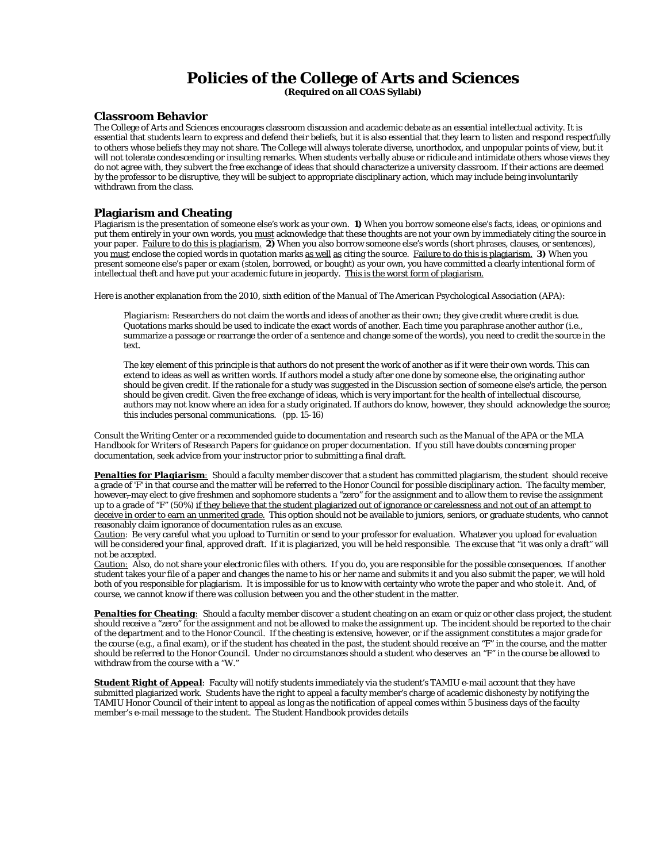# **Policies of the College of Arts and Sciences**

**(Required on all COAS Syllabi)** 

#### **Classroom Behavior**

The College of Arts and Sciences encourages classroom discussion and academic debate as an essential intellectual activity. It is essential that students learn to express and defend their beliefs, but it is also essential that they learn to listen and respond respectfully to others whose beliefs they may not share. The College will always tolerate diverse, unorthodox, and unpopular points of view, but it will not tolerate condescending or insulting remarks. When students verbally abuse or ridicule and intimidate others whose views they do not agree with, they subvert the free exchange of ideas that should characterize a university classroom. If their actions are deemed by the professor to be disruptive, they will be subject to appropriate disciplinary action, which may include being involuntarily withdrawn from the class.

### **Plagiarism and Cheating**

Plagiarism is the presentation of someone else's work as your own. **1)** When you borrow someone else's facts, ideas, or opinions and put them entirely in your own words, you must acknowledge that these thoughts are not your own by immediately citing the source in your paper. Failure to do this is plagiarism. **2)** When you also borrow someone else's words (short phrases, clauses, or sentences), you must enclose the copied words in quotation marks as well as citing the source. Failure to do this is plagiarism. **3)** When you present someone else's paper or exam (stolen, borrowed, or bought) as your own, you have committed a clearly intentional form of intellectual theft and have put your academic future in jeopardy. This is the worst form of plagiarism.

Here is another explanation from the 2010, sixth edition of the *Manual of The American Psychological Association* (APA):

*Plagiarism:* Researchers do not claim the words and ideas of another as their own; they give credit where credit is due. Quotations marks should be used to indicate the exact words of another. *Each* time you paraphrase another author (i.e., summarize a passage or rearrange the order of a sentence and change some of the words), you need to credit the source in the text.

The key element of this principle is that authors do not present the work of another as if it were their own words. This can extend to ideas as well as written words. If authors model a study after one done by someone else, the originating author should be given credit. If the rationale for a study was suggested in the Discussion section of someone else's article, the person should be given credit. Given the free exchange of ideas, which is very important for the health of intellectual discourse, authors may not know where an idea for a study originated. If authors do know, however, they should acknowledge the source; this includes personal communications. (pp. 15-16)

Consult the Writing Center or a recommended guide to documentation and research such as the *Manual of the APA* or the *MLA Handbook for Writers of Research Papers* for guidance on proper documentation. If you still have doubts concerning proper documentation, seek advice from your instructor prior to submitting a final draft.

*Penalties for Plagiarism:* Should a faculty member discover that a student has committed plagiarism, the student should receive a grade of 'F' in that course and the matter will be referred to the Honor Council for possible disciplinary action. The faculty member, however, may elect to give freshmen and sophomore students a "zero" for the assignment and to allow them to revise the assignment up to a grade of "F" (50%) if they believe that the student plagiarized out of ignorance or carelessness and not out of an attempt to deceive in order to earn an unmerited grade. This option should not be available to juniors, seniors, or graduate students, who cannot reasonably claim ignorance of documentation rules as an excuse.

*Caution*: Be very careful what you upload to Turnitin or send to your professor for evaluation. Whatever you upload for evaluation will be considered your final, approved draft. If it is plagiarized, you will be held responsible. The excuse that "it was only a draft" will not be accepted.

*Caution:* Also, do not share your electronic files with others. If you do, you are responsible for the possible consequences. If another student takes your file of a paper and changes the name to his or her name and submits it and you also submit the paper, we will hold both of you responsible for plagiarism. It is impossible for us to know with certainty who wrote the paper and who stole it. And, of course, we cannot know if there was collusion between you and the other student in the matter.

*Penalties for Cheating:* Should a faculty member discover a student cheating on an exam or quiz or other class project, the student should receive a "zero" for the assignment and not be allowed to make the assignment up. The incident should be reported to the chair of the department and to the Honor Council. If the cheating is extensive, however, or if the assignment constitutes a major grade for the course (e.g., a final exam), or if the student has cheated in the past, the student should receive an "F" in the course, and the matter should be referred to the Honor Council. Under no circumstances should a student who deserves an "F" in the course be allowed to withdraw from the course with a "W."

*Student Right of Appeal*: Faculty will notify students immediately via the student's TAMIU e-mail account that they have submitted plagiarized work. Students have the right to appeal a faculty member's charge of academic dishonesty by notifying the TAMIU Honor Council of their intent to appeal as long as the notification of appeal comes within 5 business days of the faculty member's e-mail message to the student. The *Student Handbook* provides details